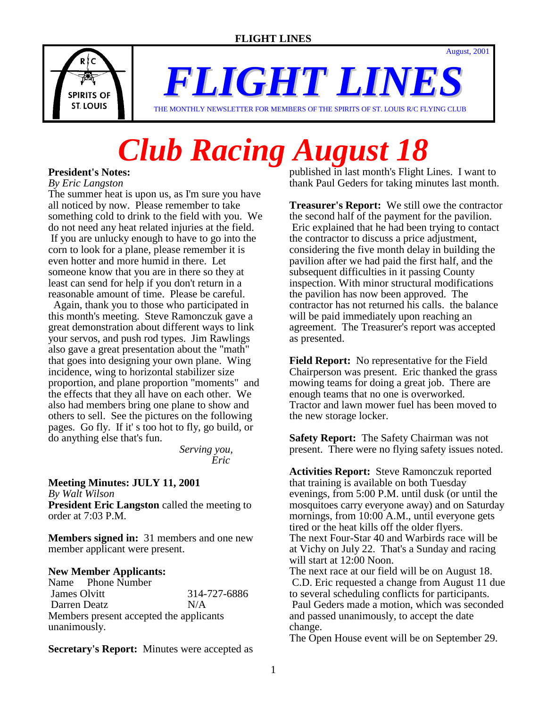August, 2001



*FLIGHT LINES*

#### THE MONTHLY NEWSLETTER FOR MEMBERS OF THE SPIRITS OF ST. LOUIS R/C FLYING CLUB

# *Club Racing August 18*

# **President's Notes:**

*By Eric Langston*

The summer heat is upon us, as I'm sure you have all noticed by now. Please remember to take something cold to drink to the field with you. We do not need any heat related injuries at the field. If you are unlucky enough to have to go into the corn to look for a plane, please remember it is even hotter and more humid in there. Let someone know that you are in there so they at least can send for help if you don't return in a reasonable amount of time. Please be careful.

 Again, thank you to those who participated in this month's meeting. Steve Ramonczuk gave a great demonstration about different ways to link your servos, and push rod types. Jim Rawlings also gave a great presentation about the "math" that goes into designing your own plane. Wing incidence, wing to horizontal stabilizer size proportion, and plane proportion "moments" and the effects that they all have on each other. We also had members bring one plane to show and others to sell. See the pictures on the following pages. Go fly. If it' s too hot to fly, go build, or do anything else that's fun.

 *Serving you, Eric* 

### **Meeting Minutes: JULY 11, 2001**

*By Walt Wilson*

**President Eric Langston** called the meeting to order at 7:03 P.M.

**Members signed in:** 31 members and one new member applicant were present.

### **New Member Applicants:**

Name Phone Number James Olvitt 314-727-6886 Darren Deatz N/A Members present accepted the applicants unanimously.

**Secretary's Report:** Minutes were accepted as

published in last month's Flight Lines. I want to thank Paul Geders for taking minutes last month.

**Treasurer's Report:** We still owe the contractor the second half of the payment for the pavilion. Eric explained that he had been trying to contact the contractor to discuss a price adjustment, considering the five month delay in building the pavilion after we had paid the first half, and the subsequent difficulties in it passing County inspection. With minor structural modifications the pavilion has now been approved. The contractor has not returned his calls. the balance will be paid immediately upon reaching an agreement. The Treasurer's report was accepted as presented.

**Field Report:** No representative for the Field Chairperson was present. Eric thanked the grass mowing teams for doing a great job. There are enough teams that no one is overworked. Tractor and lawn mower fuel has been moved to the new storage locker.

**Safety Report:** The Safety Chairman was not present. There were no flying safety issues noted.

**Activities Report:** Steve Ramonczuk reported that training is available on both Tuesday evenings, from 5:00 P.M. until dusk (or until the mosquitoes carry everyone away) and on Saturday mornings, from 10:00 A.M., until everyone gets tired or the heat kills off the older flyers. The next Four-Star 40 and Warbirds race will be at Vichy on July 22. That's a Sunday and racing will start at 12:00 Noon. The next race at our field will be on August 18.

 C.D. Eric requested a change from August 11 due to several scheduling conflicts for participants. Paul Geders made a motion, which was seconded and passed unanimously, to accept the date change.

The Open House event will be on September 29.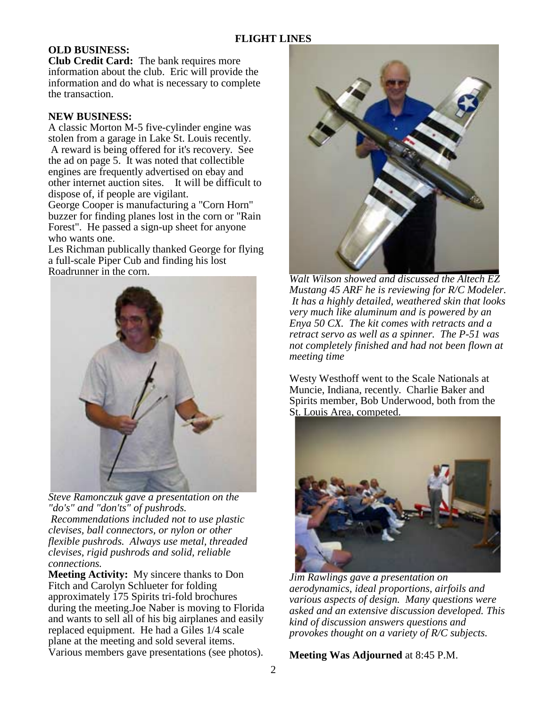# **OLD BUSINESS:**

**Club Credit Card:** The bank requires more information about the club. Eric will provide the information and do what is necessary to complete the transaction.

#### **NEW BUSINESS:**

A classic Morton M-5 five-cylinder engine was stolen from a garage in Lake St. Louis recently. A reward is being offered for it's recovery. See the ad on page 5. It was noted that collectible engines are frequently advertised on ebay and other internet auction sites. It will be difficult to dispose of, if people are vigilant.

George Cooper is manufacturing a "Corn Horn" buzzer for finding planes lost in the corn or "Rain Forest". He passed a sign-up sheet for anyone who wants one.

Les Richman publically thanked George for flying a full-scale Piper Cub and finding his lost Roadrunner in the corn.



*Steve Ramonczuk gave a presentation on the "do's" and "don'ts" of pushrods. Recommendations included not to use plastic clevises, ball connectors, or nylon or other flexible pushrods. Always use metal, threaded clevises, rigid pushrods and solid, reliable connections.*

**Meeting Activity:** My sincere thanks to Don Fitch and Carolyn Schlueter for folding approximately 175 Spirits tri-fold brochures during the meeting.Joe Naber is moving to Florida and wants to sell all of his big airplanes and easily replaced equipment. He had a Giles 1/4 scale plane at the meeting and sold several items. Various members gave presentations (see photos).



*Walt Wilson showed and discussed the Altech EZ Mustang 45 ARF he is reviewing for R/C Modeler. It has a highly detailed, weathered skin that looks very much like aluminum and is powered by an Enya 50 CX. The kit comes with retracts and a retract servo as well as a spinner. The P-51 was not completely finished and had not been flown at meeting time* 

Westy Westhoff went to the Scale Nationals at Muncie, Indiana, recently. Charlie Baker and Spirits member, Bob Underwood, both from the St. Louis Area, competed.



*Jim Rawlings gave a presentation on aerodynamics, ideal proportions, airfoils and various aspects of design. Many questions were asked and an extensive discussion developed. This kind of discussion answers questions and provokes thought on a variety of R/C subjects.*

**Meeting Was Adjourned** at 8:45 P.M.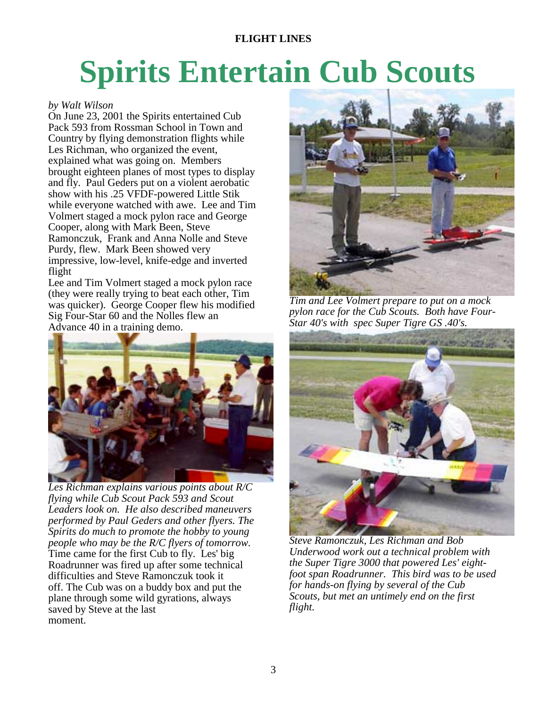# **FLIGHT LINES**

# **Spirits Entertain Cub Scouts**

#### *by Walt Wilson*

On June 23, 2001 the Spirits entertained Cub Pack 593 from Rossman School in Town and Country by flying demonstration flights while Les Richman, who organized the event, explained what was going on. Members brought eighteen planes of most types to display and fly. Paul Geders put on a violent aerobatic show with his .25 VFDF-powered Little Stik while everyone watched with awe. Lee and Tim Volmert staged a mock pylon race and George Cooper, along with Mark Been, Steve Ramonczuk, Frank and Anna Nolle and Steve Purdy, flew. Mark Been showed very impressive, low-level, knife-edge and inverted flight

Lee and Tim Volmert staged a mock pylon race (they were really trying to beat each other, Tim was quicker). George Cooper flew his modified Sig Four-Star 60 and the Nolles flew an Advance 40 in a training demo.



*Les Richman explains various points about R/C flying while Cub Scout Pack 593 and Scout Leaders look on. He also described maneuvers performed by Paul Geders and other flyers. The Spirits do much to promote the hobby to young people who may be the R/C flyers of tomorrow.*  Time came for the first Cub to fly. Les' big Roadrunner was fired up after some technical difficulties and Steve Ramonczuk took it off. The Cub was on a buddy box and put the plane through some wild gyrations, always saved by Steve at the last moment.



*Tim and Lee Volmert prepare to put on a mock pylon race for the Cub Scouts. Both have Four-Star 40's with spec Super Tigre GS .40's.* 



*Steve Ramonczuk, Les Richman and Bob Underwood work out a technical problem with the Super Tigre 3000 that powered Les' eightfoot span Roadrunner. This bird was to be used for hands-on flying by several of the Cub Scouts, but met an untimely end on the first flight.*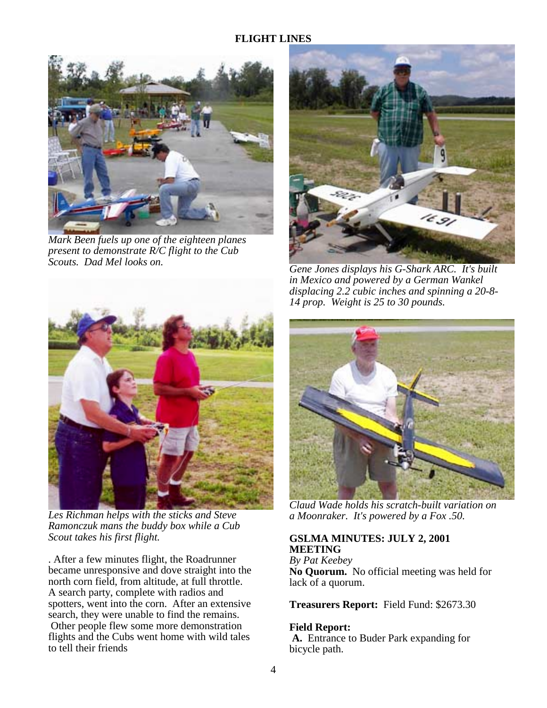

*Mark Been fuels up one of the eighteen planes present to demonstrate R/C flight to the Cub Scouts. Dad Mel looks on.* 



*Les Richman helps with the sticks and Steve Ramonczuk mans the buddy box while a Cub Scout takes his first flight.* 

. After a few minutes flight, the Roadrunner became unresponsive and dove straight into the north corn field, from altitude, at full throttle. A search party, complete with radios and spotters, went into the corn. After an extensive search, they were unable to find the remains. Other people flew some more demonstration flights and the Cubs went home with wild tales to tell their friends



*Gene Jones displays his G-Shark ARC. It's built in Mexico and powered by a German Wankel displacing 2.2 cubic inches and spinning a 20-8- 14 prop. Weight is 25 to 30 pounds.* 



*Claud Wade holds his scratch-built variation on a Moonraker. It's powered by a Fox .50.* 

# **GSLMA MINUTES: JULY 2, 2001 MEETING**

*By Pat Keebey* **No Quorum.** No official meeting was held for lack of a quorum.

**Treasurers Report:** Field Fund: \$2673.30

### **Field Report:**

**A.** Entrance to Buder Park expanding for bicycle path.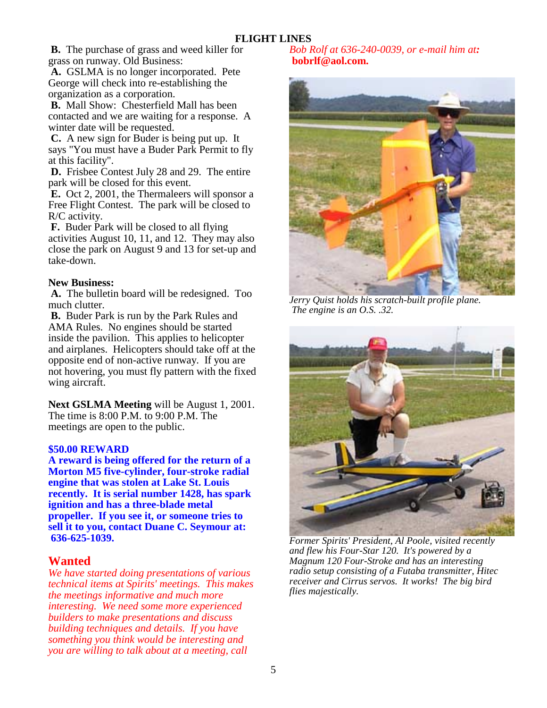**B.** The purchase of grass and weed killer for grass on runway. Old Business:

 **A.** GSLMA is no longer incorporated. Pete George will check into re-establishing the organization as a corporation.

 **B.** Mall Show: Chesterfield Mall has been contacted and we are waiting for a response. A winter date will be requested.

 **C.** A new sign for Buder is being put up. It says "You must have a Buder Park Permit to fly at this facility".

 **D.** Frisbee Contest July 28 and 29. The entire park will be closed for this event.

 **E.** Oct 2, 2001, the Thermaleers will sponsor a Free Flight Contest. The park will be closed to R/C activity.

 **F.** Buder Park will be closed to all flying activities August 10, 11, and 12. They may also close the park on August 9 and 13 for set-up and take-down.

# **New Business:**

 **A.** The bulletin board will be redesigned. Too much clutter.

 **B.** Buder Park is run by the Park Rules and AMA Rules. No engines should be started inside the pavilion. This applies to helicopter and airplanes. Helicopters should take off at the opposite end of non-active runway. If you are not hovering, you must fly pattern with the fixed wing aircraft.

**Next GSLMA Meeting** will be August 1, 2001. The time is 8:00 P.M. to 9:00 P.M. The meetings are open to the public.

### **\$50.00 REWARD**

**A reward is being offered for the return of a Morton M5 five-cylinder, four-stroke radial engine that was stolen at Lake St. Louis recently. It is serial number 1428, has spark ignition and has a three-blade metal propeller. If you see it, or someone tries to sell it to you, contact Duane C. Seymour at: 636-625-1039.**

# **Wanted**

*We have started doing presentations of various technical items at Spirits' meetings. This makes the meetings informative and much more interesting. We need some more experienced builders to make presentations and discuss building techniques and details. If you have something you think would be interesting and you are willing to talk about at a meeting, call* 

*Bob Rolf at 636-240-0039, or e-mail him at:*   **bobrlf@aol.com.**



*Jerry Quist holds his scratch-built profile plane. The engine is an O.S. .32.*



*Former Spirits' President, Al Poole, visited recently and flew his Four-Star 120. It's powered by a Magnum 120 Four-Stroke and has an interesting radio setup consisting of a Futaba transmitter, Hitec receiver and Cirrus servos. It works! The big bird flies majestically.*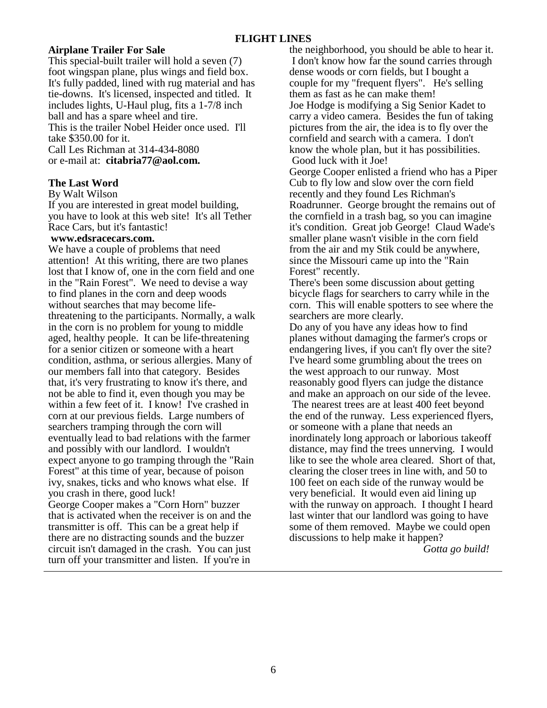## **Airplane Trailer For Sale**

This special-built trailer will hold a seven (7) foot wingspan plane, plus wings and field box. It's fully padded, lined with rug material and has tie-downs. It's licensed, inspected and titled. It includes lights, U-Haul plug, fits a 1-7/8 inch ball and has a spare wheel and tire. This is the trailer Nobel Heider once used. I'll take \$350.00 for it. Call Les Richman at 314-434-8080 or e-mail at: **citabria77@aol.com.**

### **The Last Word**

#### By Walt Wilson

If you are interested in great model building, you have to look at this web site! It's all Tether Race Cars, but it's fantastic!

#### **www.edsracecars.com.**

We have a couple of problems that need attention! At this writing, there are two planes lost that I know of, one in the corn field and one in the "Rain Forest". We need to devise a way to find planes in the corn and deep woods without searches that may become lifethreatening to the participants. Normally, a walk in the corn is no problem for young to middle aged, healthy people. It can be life-threatening for a senior citizen or someone with a heart condition, asthma, or serious allergies. Many of our members fall into that category. Besides that, it's very frustrating to know it's there, and not be able to find it, even though you may be within a few feet of it. I know! I've crashed in corn at our previous fields. Large numbers of searchers tramping through the corn will eventually lead to bad relations with the farmer and possibly with our landlord. I wouldn't expect anyone to go tramping through the "Rain Forest" at this time of year, because of poison ivy, snakes, ticks and who knows what else. If you crash in there, good luck!

George Cooper makes a "Corn Horn" buzzer that is activated when the receiver is on and the transmitter is off. This can be a great help if there are no distracting sounds and the buzzer circuit isn't damaged in the crash. You can just turn off your transmitter and listen. If you're in

the neighborhood, you should be able to hear it. I don't know how far the sound carries through dense woods or corn fields, but I bought a couple for my "frequent flyers". He's selling them as fast as he can make them! Joe Hodge is modifying a Sig Senior Kadet to carry a video camera. Besides the fun of taking pictures from the air, the idea is to fly over the cornfield and search with a camera. I don't know the whole plan, but it has possibilities. Good luck with it Joe! George Cooper enlisted a friend who has a Piper Cub to fly low and slow over the corn field recently and they found Les Richman's Roadrunner. George brought the remains out of the cornfield in a trash bag, so you can imagine it's condition. Great job George! Claud Wade's smaller plane wasn't visible in the corn field from the air and my Stik could be anywhere,

Forest" recently. There's been some discussion about getting bicycle flags for searchers to carry while in the corn. This will enable spotters to see where the searchers are more clearly.

since the Missouri came up into the "Rain

Do any of you have any ideas how to find planes without damaging the farmer's crops or endangering lives, if you can't fly over the site? I've heard some grumbling about the trees on the west approach to our runway. Most reasonably good flyers can judge the distance and make an approach on our side of the levee.

 The nearest trees are at least 400 feet beyond the end of the runway. Less experienced flyers, or someone with a plane that needs an inordinately long approach or laborious takeoff distance, may find the trees unnerving. I would like to see the whole area cleared. Short of that, clearing the closer trees in line with, and 50 to 100 feet on each side of the runway would be very beneficial. It would even aid lining up with the runway on approach. I thought I heard last winter that our landlord was going to have some of them removed. Maybe we could open discussions to help make it happen?

*Gotta go build!*